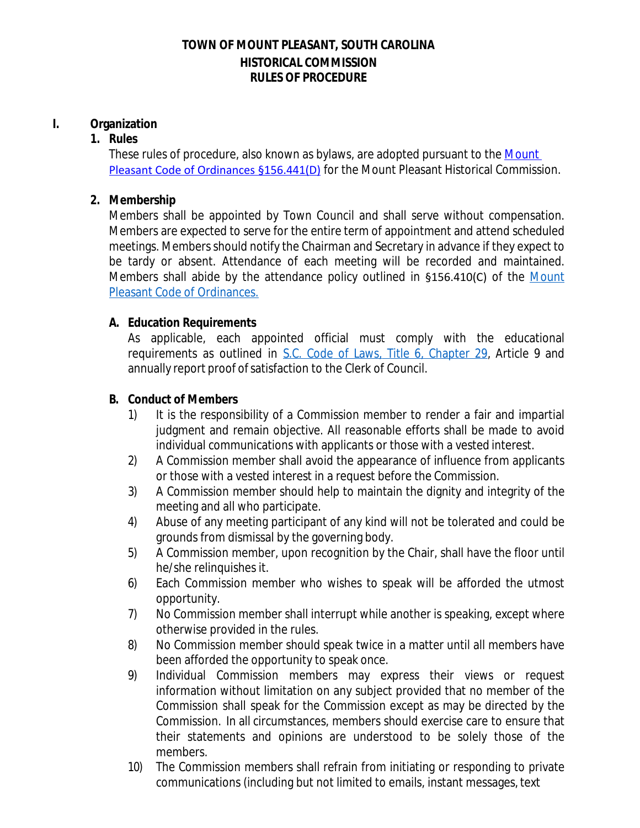## **TOWN OF MOUNT PLEASANT, SOUTH CAROLINA HISTORICAL COMMISSION RULES OF PROCEDURE**

## **I. Organization**

#### **1. Rules**

These rules of procedure, also known as bylaws, are adopted pursuant to the Mount Pleasant Code of Ordinances §156.441(D) for the Mount Pleasant Historical Commission.

### **2. Membership**

Members shall be appointed by Town Council and shall serve without compensation. Members are expected to serve for the entire term of appointment and attend scheduled meetings. Members should notify the Chairman and Secretary in advance if they expect to be tardy or absent. Attendance of each meeting will be recorded and maintained. Members shall abide by the attendance policy outlined in §156.410(C) of the [Mount](http://library.amlegal.com/nxt/gateway.dll/South%20Carolina/pleasant/titlexvlandusage/chapter156zoningcode?f=templates%24fn%3Ddefault.htm%243.0%24vid%3Damlegal%3Amtpleasant_sc%24anc%3DJD_Chapter156) [Pleasant Code of](http://library.amlegal.com/nxt/gateway.dll/South%20Carolina/pleasant/titlexvlandusage/chapter156zoningcode?f=templates%24fn%3Ddefault.htm%243.0%24vid%3Damlegal%3Amtpleasant_sc%24anc%3DJD_Chapter156) [Ordinances.](http://library.amlegal.com/nxt/gateway.dll/South%20Carolina/pleasant/titlexvlandusage/chapter156zoningcode?f=templates%24fn%3Ddefault.htm%243.0%24vid%3Damlegal%3Amtpleasant_sc%24anc%3DJD_Chapter156)

#### **A. Education Requirements**

As applicable, each appointed official must comply with the educational requirements as outlined in [S.C. Code of Laws, Title 6, Chapter 29,](https://www.scstatehouse.gov/code/t06c029.php) Article 9 and annually report proof of satisfaction to the Clerk of Council.

#### **B. Conduct of Members**

- 1) It is the responsibility of a Commission member to render a fair and impartial judgment and remain objective. All reasonable efforts shall be made to avoid individual communications with applicants or those with a vested interest.
- 2) A Commission member shall avoid the appearance of influence from applicants or those with a vested interest in a request before the Commission.
- 3) A Commission member should help to maintain the dignity and integrity of the meeting and all who participate.
- 4) Abuse of any meeting participant of any kind will not be tolerated and could be grounds from dismissal by the governing body.
- 5) A Commission member, upon recognition by the Chair, shall have the floor until he/she relinquishes it.
- 6) Each Commission member who wishes to speak will be afforded the utmost opportunity.
- 7) No Commission member shall interrupt while another is speaking, except where otherwise provided in the rules.
- 8) No Commission member should speak twice in a matter until all members have been afforded the opportunity to speak once.
- 9) Individual Commission members may express their views or request information without limitation on any subject provided that no member of the Commission shall speak for the Commission except as may be directed by the Commission. In all circumstances, members should exercise care to ensure that their statements and opinions are understood to be solely those of the members.
- 10) The Commission members shall refrain from initiating or responding to private communications (including but not limited to emails, instant messages, text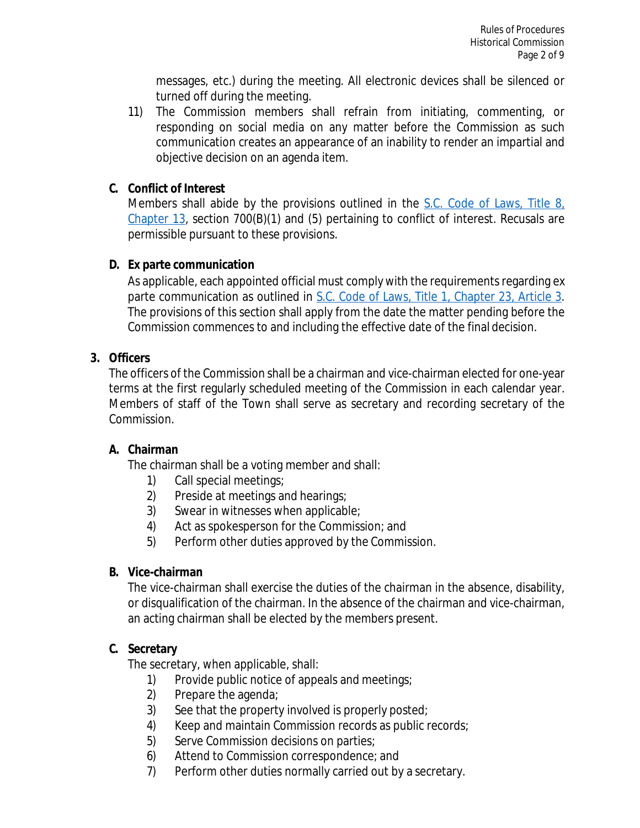messages, etc.) during the meeting. All electronic devices shall be silenced or turned off during the meeting.

11) The Commission members shall refrain from initiating, commenting, or responding on social media on any matter before the Commission as such communication creates an appearance of an inability to render an impartial and objective decision on an agenda item.

## **C. Conflict of Interest**

Members shall abide by the provisions outlined in the [S.C. Code of Laws, Title 8,](https://www.scstatehouse.gov/code/t08c013.php) [Chapter 13](https://www.scstatehouse.gov/code/t08c013.php), section 700(B)(1) and (5) pertaining to conflict of interest. Recusals are permissible pursuant to these provisions.

## **D. Ex parte communication**

As applicable, each appointed official must comply with the requirements regarding ex parte communication as outlined in [S.C. Code of Laws, Title 1, Chapter 23, Article 3](https://www.scstatehouse.gov/code/t01c023.php). The provisions of this section shall apply from the date the matter pending before the Commission commences to and including the effective date of the final decision.

## **3. Officers**

The officers of the Commission shall be a chairman and vice-chairman elected for one-year terms at the first regularly scheduled meeting of the Commission in each calendar year. Members of staff of the Town shall serve as secretary and recording secretary of the Commission.

# **A. Chairman**

The chairman shall be a voting member and shall:

- 1) Call special meetings;
- 2) Preside at meetings and hearings;
- 3) Swear in witnesses when applicable;
- 4) Act as spokesperson for the Commission; and
- 5) Perform other duties approved by the Commission.

## **B. Vice-chairman**

The vice-chairman shall exercise the duties of the chairman in the absence, disability, or disqualification of the chairman. In the absence of the chairman and vice-chairman, an acting chairman shall be elected by the members present.

## **C. Secretary**

The secretary, when applicable, shall:

- 1) Provide public notice of appeals and meetings;
- 2) Prepare the agenda;
- 3) See that the property involved is properly posted;
- 4) Keep and maintain Commission records as public records;
- 5) Serve Commission decisions on parties;
- 6) Attend to Commission correspondence; and
- 7) Perform other duties normally carried out by a secretary.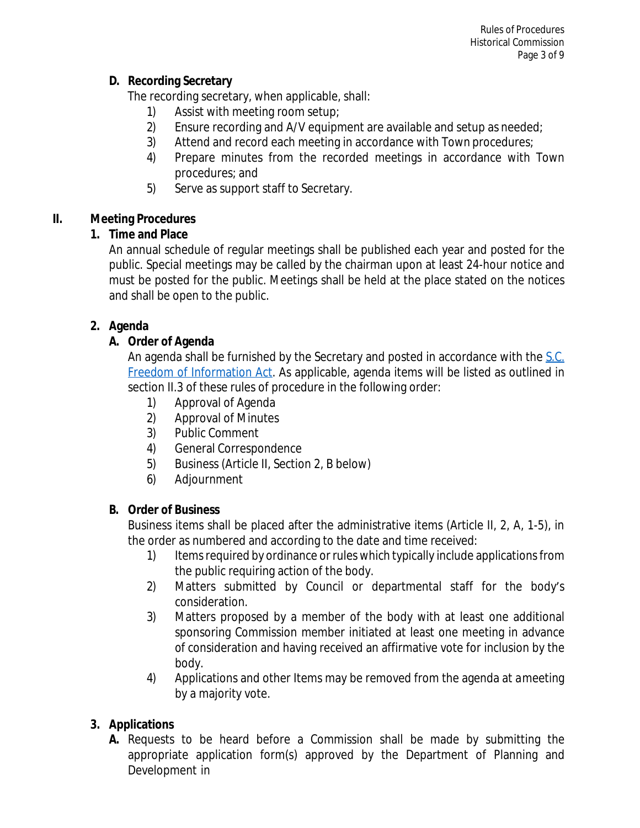## **D. Recording Secretary**

The recording secretary, when applicable, shall:

- 1) Assist with meeting room setup;
- 2) Ensure recording and A/V equipment are available and setup as needed;
- 3) Attend and record each meeting in accordance with Town procedures;
- 4) Prepare minutes from the recorded meetings in accordance with Town procedures; and
- 5) Serve as support staff to Secretary.

# **II. Meeting Procedures**

# **1. Time and Place**

An annual schedule of regular meetings shall be published each year and posted for the public. Special meetings may be called by the chairman upon at least 24-hour notice and must be posted for the public. Meetings shall be held at the place stated on the notices and shall be open to the public.

# **2. Agenda**

# **A. Order of Agenda**

An agenda shall be furnished by the Secretary and posted in accordance with the [S.C.](https://www.scstatehouse.gov/code/t30c004.php) [Freedom of Information Act.](https://www.scstatehouse.gov/code/t30c004.php) As applicable, agenda items will be listed as outlined in section II.3 of these rules of procedure in the following order:

- 1) Approval of Agenda
- 2) Approval of Minutes
- 3) Public Comment
- 4) General Correspondence
- 5) Business (Article II, Section 2, B below)
- 6) Adjournment

## **B. Order of Business**

Business items shall be placed after the administrative items (Article II, 2, A, 1-5), in the order as numbered and according to the date and time received:

- 1) Items required by ordinance or rules which typically include applications from the public requiring action of the body.
- 2) Matters submitted by Council or departmental staff for the body's consideration.
- 3) Matters proposed by a member of the body with at least one additional sponsoring Commission member initiated at least one meeting in advance of consideration and having received an affirmative vote for inclusion by the body.
- 4) Applications and other Items may be removed from the agenda at ameeting by a majority vote.

# **3. Applications**

**A.** Requests to be heard before a Commission shall be made by submitting the appropriate application form(s) approved by the Department of Planning and Development in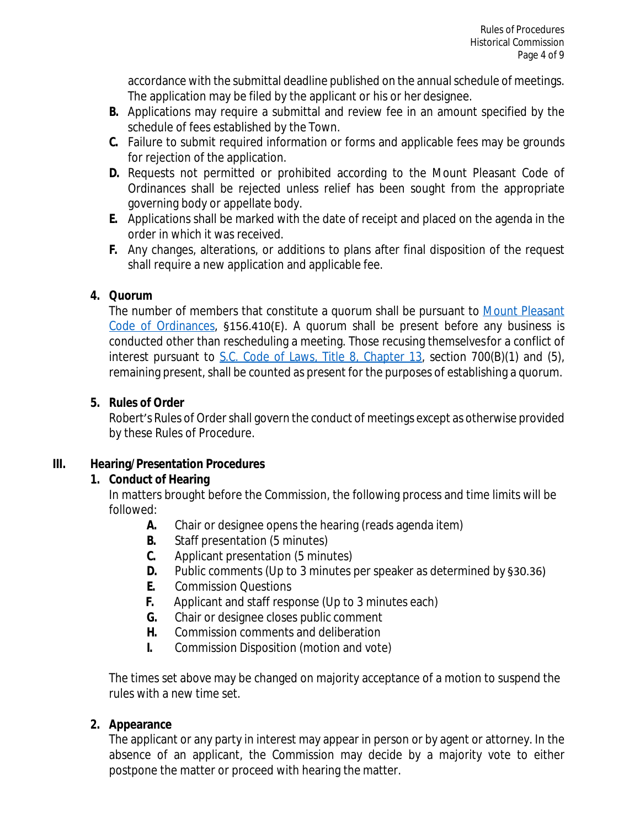accordance with the submittal deadline published on the annual schedule of meetings. The application may be filed by the applicant or his or her designee.

- **B.** Applications may require a submittal and review fee in an amount specified by the schedule of fees established by the Town.
- **C.** Failure to submit required information or forms and applicable fees may be grounds for rejection of the application.
- **D.** Requests not permitted or prohibited according to the Mount Pleasant Code of Ordinances shall be rejected unless relief has been sought from the appropriate governing body or appellate body.
- **E.** Applications shall be marked with the date of receipt and placed on the agenda in the order in which it was received.
- **F.** Any changes, alterations, or additions to plans after final disposition of the request shall require a new application and applicable fee.

## **4. Quorum**

The number of members that constitute a quorum shall be pursuant to [Mount Pleasant](http://library.amlegal.com/nxt/gateway.dll/South%20Carolina/pleasant/titlexvlandusage/chapter156zoningcode?f=templates%24fn%3Ddefault.htm%243.0%24vid%3Damlegal%3Amtpleasant_sc%24anc%3DJD_Chapter156) [Code of Ordinances](http://library.amlegal.com/nxt/gateway.dll/South%20Carolina/pleasant/titlexvlandusage/chapter156zoningcode?f=templates%24fn%3Ddefault.htm%243.0%24vid%3Damlegal%3Amtpleasant_sc%24anc%3DJD_Chapter156), §156.410(E). A quorum shall be present before any business is conducted other than rescheduling a meeting. Those recusing themselvesfor a conflict of interest pursuant to  $S.C.$  Code of Laws, Title 8, Chapter 13, section 700(B)(1) and (5), remaining present, shall be counted as present for the purposes of establishing a quorum.

## **5. Rules of Order**

Robert's Rules of Order shall govern the conduct of meetings except as otherwise provided by these Rules of Procedure.

# **III. Hearing/Presentation Procedures**

# **1. Conduct of Hearing**

In matters brought before the Commission, the following process and time limits will be followed:

- **A.** Chair or designee opens the hearing (reads agenda item)
- **B.** Staff presentation (5 minutes)
- **C.** Applicant presentation (5 minutes)
- **D.** Public comments (Up to 3 minutes per speaker as determined by §30.36)
- **E.** Commission Questions
- **F.** Applicant and staff response (Up to 3 minutes each)
- **G.** Chair or designee closes public comment
- **H.** Commission comments and deliberation
- **I.** Commission Disposition (motion and vote)

The times set above may be changed on majority acceptance of a motion to suspend the rules with a new time set.

# **2. Appearance**

The applicant or any party in interest may appear in person or by agent or attorney. In the absence of an applicant, the Commission may decide by a majority vote to either postpone the matter or proceed with hearing the matter.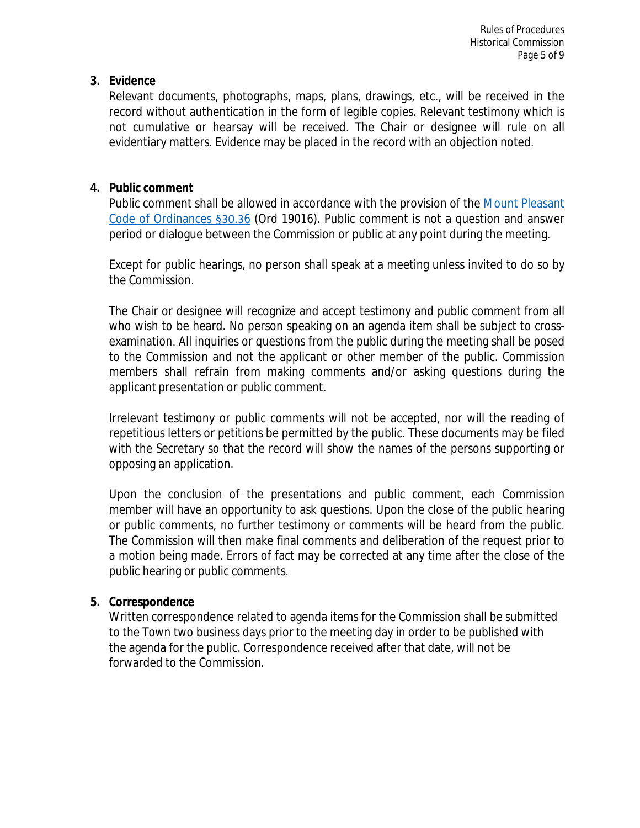#### **3. Evidence**

Relevant documents, photographs, maps, plans, drawings, etc., will be received in the record without authentication in the form of legible copies. Relevant testimony which is not cumulative or hearsay will be received. The Chair or designee will rule on all evidentiary matters. Evidence may be placed in the record with an objection noted.

## **4. Public comment**

Public comment shall be allowed in accordance with the provision of the [Mount Pleasant](http://library.amlegal.com/nxt/gateway.dll/South%20Carolina/pleasant/titleiiiadministration/chapter30towncouncil?f=templates%24fn%3Ddefault.htm%243.0%24vid%3Damlegal%3Amtpleasant_sc%24anc%3DJD_30.35) [Code of Ordinances](http://library.amlegal.com/nxt/gateway.dll/South%20Carolina/pleasant/titleiiiadministration/chapter30towncouncil?f=templates%24fn%3Ddefault.htm%243.0%24vid%3Damlegal%3Amtpleasant_sc%24anc%3DJD_30.35) §30.36 (Ord 19016). Public comment is not a question and answer period or dialogue between the Commission or public at any point during the meeting.

Except for public hearings, no person shall speak at a meeting unless invited to do so by the Commission.

The Chair or designee will recognize and accept testimony and public comment from all who wish to be heard. No person speaking on an agenda item shall be subject to crossexamination. All inquiries or questions from the public during the meeting shall be posed to the Commission and not the applicant or other member of the public. Commission members shall refrain from making comments and/or asking questions during the applicant presentation or public comment.

Irrelevant testimony or public comments will not be accepted, nor will the reading of repetitious letters or petitions be permitted by the public. These documents may be filed with the Secretary so that the record will show the names of the persons supporting or opposing an application.

Upon the conclusion of the presentations and public comment, each Commission member will have an opportunity to ask questions. Upon the close of the public hearing or public comments, no further testimony or comments will be heard from the public. The Commission will then make final comments and deliberation of the request prior to a motion being made. Errors of fact may be corrected at any time after the close of the public hearing or public comments.

## **5. Correspondence**

Written correspondence related to agenda items for the Commission shall be submitted to the Town two business days prior to the meeting day in order to be published with the agenda for the public. Correspondence received after that date, will not be forwarded to the Commission.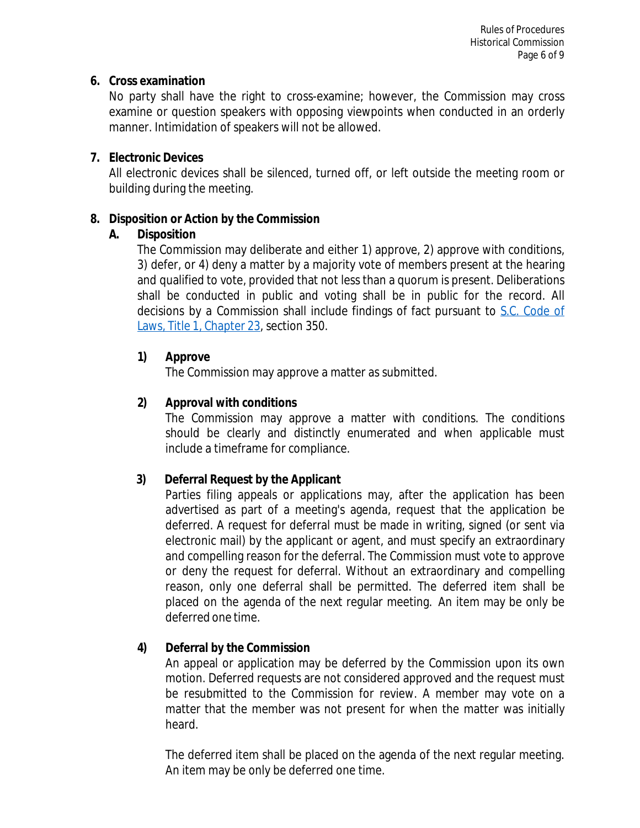#### **6. Cross examination**

No party shall have the right to cross-examine; however, the Commission may cross examine or question speakers with opposing viewpoints when conducted in an orderly manner. Intimidation of speakers will not be allowed.

## **7. Electronic Devices**

All electronic devices shall be silenced, turned off, or left outside the meeting room or building during the meeting.

## **8. Disposition or Action by the Commission**

## **A. Disposition**

The Commission may deliberate and either 1) approve, 2) approve with conditions, 3) defer, or 4) deny a matter by a majority vote of members present at the hearing and qualified to vote, provided that not less than a quorum is present. Deliberations shall be conducted in public and voting shall be in public for the record. All decisions by a Commission shall include findings of fact pursuant to [S.C. Code of](https://www.scstatehouse.gov/code/t01c023.php) [Laws,](https://www.scstatehouse.gov/code/t01c023.php) [Title](https://www.scstatehouse.gov/code/t01c023.php) [1,](https://www.scstatehouse.gov/code/t01c023.php) [Chapter](https://www.scstatehouse.gov/code/t01c023.php) [23,](https://www.scstatehouse.gov/code/t01c023.php) section 350.

# **1) Approve**

The Commission may approve a matter as submitted.

# **2) Approval with conditions**

The Commission may approve a matter with conditions. The conditions should be clearly and distinctly enumerated and when applicable must include a timeframe for compliance.

# **3) Deferral Request by the Applicant**

Parties filing appeals or applications may, after the application has been advertised as part of a meeting's agenda, request that the application be deferred. A request for deferral must be made in writing, signed (or sent via electronic mail) by the applicant or agent, and must specify an extraordinary and compelling reason for the deferral. The Commission must vote to approve or deny the request for deferral. Without an extraordinary and compelling reason, only one deferral shall be permitted. The deferred item shall be placed on the agenda of the next regular meeting. An item may be only be deferred one time.

## **4) Deferral by the Commission**

An appeal or application may be deferred by the Commission upon its own motion. Deferred requests are not considered approved and the request must be resubmitted to the Commission for review. A member may vote on a matter that the member was not present for when the matter was initially heard.

The deferred item shall be placed on the agenda of the next regular meeting. An item may be only be deferred one time.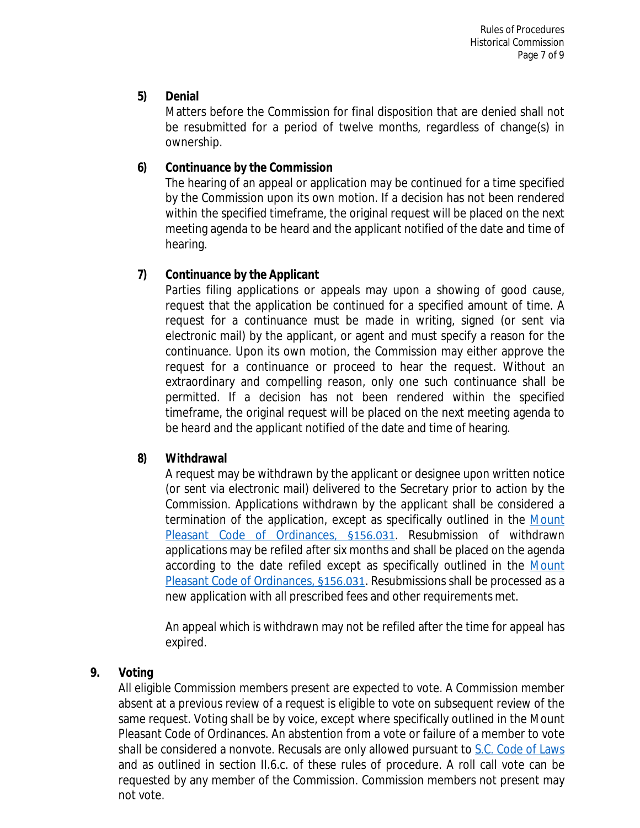### **5) Denial**

Matters before the Commission for final disposition that are denied shall not be resubmitted for a period of twelve months, regardless of change(s) in ownership.

#### **6) Continuance by the Commission**

The hearing of an appeal or application may be continued for a time specified by the Commission upon its own motion. If a decision has not been rendered within the specified timeframe, the original request will be placed on the next meeting agenda to be heard and the applicant notified of the date and time of hearing.

#### **7) Continuance by the Applicant**

Parties filing applications or appeals may upon a showing of good cause, request that the application be continued for a specified amount of time. A request for a continuance must be made in writing, signed (or sent via electronic mail) by the applicant, or agent and must specify a reason for the continuance. Upon its own motion, the Commission may either approve the request for a continuance or proceed to hear the request. Without an extraordinary and compelling reason, only one such continuance shall be permitted. If a decision has not been rendered within the specified timeframe, the original request will be placed on the next meeting agenda to be heard and the applicant notified of the date and time of hearing.

#### **8) Withdrawal**

A request may be withdrawn by the applicant or designee upon written notice (or sent via electronic mail) delivered to the Secretary prior to action by the Commission. Applications withdrawn by the applicant shall be considered a termination of the application, except as specifically outlined in the [Mount](http://library.amlegal.com/nxt/gateway.dll/South%20Carolina/pleasant/titlexvlandusage/chapter156zoningcode?f=templates%24fn%3Ddefault.htm%243.0%24vid%3Damlegal%3Amtpleasant_sc%24anc%3DJD_156.031) [Pleasant Code of Ordinances,](http://library.amlegal.com/nxt/gateway.dll/South%20Carolina/pleasant/titlexvlandusage/chapter156zoningcode?f=templates%24fn%3Ddefault.htm%243.0%24vid%3Damlegal%3Amtpleasant_sc%24anc%3DJD_156.031) §156.031. Resubmission of withdrawn applications may be refiled after six months and shall be placed on the agenda according to the date refiled except as specifically outlined in the [Mount](http://library.amlegal.com/nxt/gateway.dll/South%20Carolina/pleasant/titlexvlandusage/chapter156zoningcode?f=templates%24fn%3Ddefault.htm%243.0%24vid%3Damlegal%3Amtpleasant_sc%24anc%3DJD_156.031) [Pleasant Code of Ordinances,](http://library.amlegal.com/nxt/gateway.dll/South%20Carolina/pleasant/titlexvlandusage/chapter156zoningcode?f=templates%24fn%3Ddefault.htm%243.0%24vid%3Damlegal%3Amtpleasant_sc%24anc%3DJD_156.031) [§156.031](http://library.amlegal.com/nxt/gateway.dll/South%20Carolina/pleasant/titlexvlandusage/chapter156zoningcode?f=templates%24fn%3Ddefault.htm%243.0%24vid%3Damlegal%3Amtpleasant_sc%24anc%3DJD_156.031). Resubmissions shall be processed as a new application with all prescribed fees and other requirements met.

An appeal which is withdrawn may not be refiled after the time for appeal has expired.

#### **9. Voting**

All eligible Commission members present are expected to vote. A Commission member absent at a previous review of a request is eligible to vote on subsequent review of the same request. Voting shall be by voice, except where specifically outlined in the Mount Pleasant Code of Ordinances. An abstention from a vote or failure of a member to vote shall be considered a nonvote. Recusals are only allowed pursuant to [S.C. Code of Laws](https://www.scstatehouse.gov/code/t08c013.php) and as outlined in section II.6.c. of these rules of procedure. A roll call vote can be requested by any member of the Commission. Commission members not present may not vote.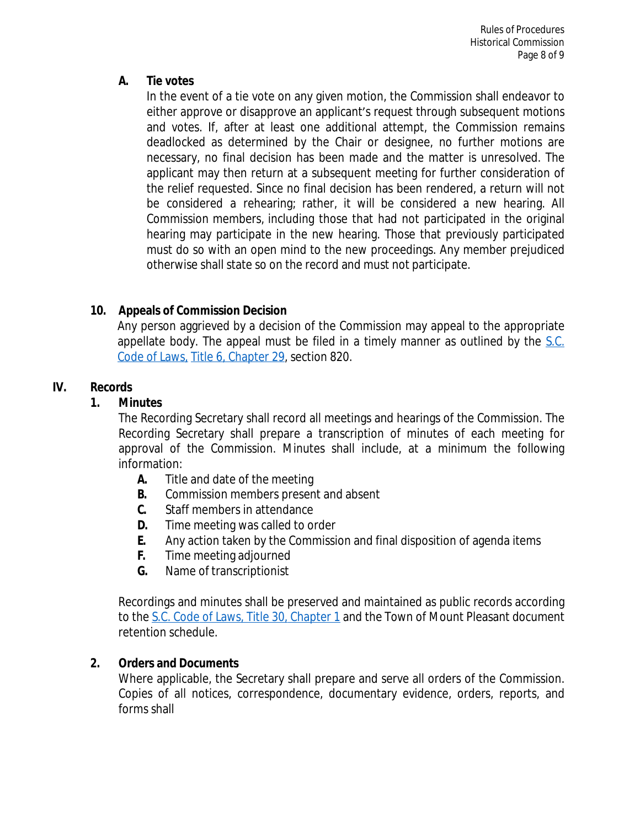## **A. Tie votes**

In the event of a tie vote on any given motion, the Commission shall endeavor to either approve or disapprove an applicant's request through subsequent motions and votes. If, after at least one additional attempt, the Commission remains deadlocked as determined by the Chair or designee, no further motions are necessary, no final decision has been made and the matter is unresolved. The applicant may then return at a subsequent meeting for further consideration of the relief requested. Since no final decision has been rendered, a return will not be considered a rehearing; rather, it will be considered a new hearing. All Commission members, including those that had not participated in the original hearing may participate in the new hearing. Those that previously participated must do so with an open mind to the new proceedings. Any member prejudiced otherwise shall state so on the record and must not participate.

# **10. Appeals of Commission Decision**

Any person aggrieved by a decision of the Commission may appeal to the appropriate appellate body. The appeal must be filed in a timely manner as outlined by the [S.C.](https://www.scstatehouse.gov/code/t06c029.php) Code of Laws, [Title 6, Chapter 29](https://www.scstatehouse.gov/code/t06c029.php), section 820.

# **IV. Records**

## **1. Minutes**

The Recording Secretary shall record all meetings and hearings of the Commission. The Recording Secretary shall prepare a transcription of minutes of each meeting for approval of the Commission. Minutes shall include, at a minimum the following information:

- **A.** Title and date of the meeting
- **B.** Commission members present and absent
- **C.** Staff members in attendance
- **D.** Time meeting was called to order
- **E.** Any action taken by the Commission and final disposition of agenda items
- **F.** Time meeting adjourned
- **G.** Name of transcriptionist

Recordings and minutes shall be preserved and maintained as public records according to the [S.C.](https://www.scstatehouse.gov/code/t30c001.php) [Code of Laws,](https://www.scstatehouse.gov/code/t30c001.php) [Title](https://www.scstatehouse.gov/code/t30c001.php) [30,](https://www.scstatehouse.gov/code/t30c001.php) [Chapter](https://www.scstatehouse.gov/code/t30c001.php) [1](https://www.scstatehouse.gov/code/t30c001.php) and the Town of Mount Pleasant document retention schedule.

## **2. Orders and Documents**

Where applicable, the Secretary shall prepare and serve all orders of the Commission. Copies of all notices, correspondence, documentary evidence, orders, reports, and forms shall